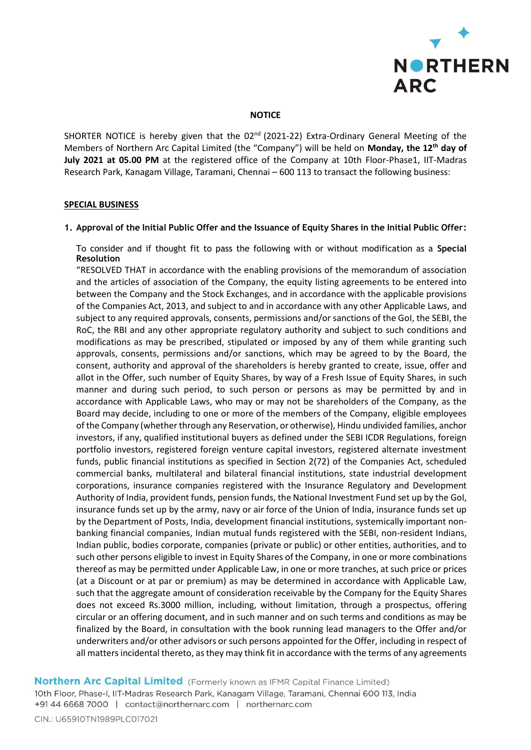

#### **NOTICE**

SHORTER NOTICE is hereby given that the 02<sup>nd</sup> (2021-22) Extra-Ordinary General Meeting of the Members of Northern Arc Capital Limited (the "Company") will be held on **Monday, the 12th day of July 2021 at 05.00 PM** at the registered office of the Company at 10th Floor-Phase1, IIT-Madras Research Park, Kanagam Village, Taramani, Chennai – 600 113 to transact the following business:

### **SPECIAL BUSINESS**

#### **1. Approval of the Initial Public Offer and the Issuance of Equity Shares in the Initial Public Offer:**

To consider and if thought fit to pass the following with or without modification as a **Special Resolution**

"RESOLVED THAT in accordance with the enabling provisions of the memorandum of association and the articles of association of the Company, the equity listing agreements to be entered into between the Company and the Stock Exchanges, and in accordance with the applicable provisions of the Companies Act, 2013, and subject to and in accordance with any other Applicable Laws, and subject to any required approvals, consents, permissions and/or sanctions of the GoI, the SEBI, the RoC, the RBI and any other appropriate regulatory authority and subject to such conditions and modifications as may be prescribed, stipulated or imposed by any of them while granting such approvals, consents, permissions and/or sanctions, which may be agreed to by the Board, the consent, authority and approval of the shareholders is hereby granted to create, issue, offer and allot in the Offer, such number of Equity Shares, by way of a Fresh Issue of Equity Shares, in such manner and during such period, to such person or persons as may be permitted by and in accordance with Applicable Laws, who may or may not be shareholders of the Company, as the Board may decide, including to one or more of the members of the Company, eligible employees of the Company (whether through any Reservation, or otherwise), Hindu undivided families, anchor investors, if any, qualified institutional buyers as defined under the SEBI ICDR Regulations, foreign portfolio investors, registered foreign venture capital investors, registered alternate investment funds, public financial institutions as specified in Section 2(72) of the Companies Act, scheduled commercial banks, multilateral and bilateral financial institutions, state industrial development corporations, insurance companies registered with the Insurance Regulatory and Development Authority of India, provident funds, pension funds, the National Investment Fund set up by the GoI, insurance funds set up by the army, navy or air force of the Union of India, insurance funds set up by the Department of Posts, India, development financial institutions, systemically important nonbanking financial companies, Indian mutual funds registered with the SEBI, non-resident Indians, Indian public, bodies corporate, companies (private or public) or other entities, authorities, and to such other persons eligible to invest in Equity Shares of the Company, in one or more combinations thereof as may be permitted under Applicable Law, in one or more tranches, at such price or prices (at a Discount or at par or premium) as may be determined in accordance with Applicable Law, such that the aggregate amount of consideration receivable by the Company for the Equity Shares does not exceed Rs.3000 million, including, without limitation, through a prospectus, offering circular or an offering document, and in such manner and on such terms and conditions as may be finalized by the Board, in consultation with the book running lead managers to the Offer and/or underwriters and/or other advisors or such persons appointed for the Offer, including in respect of all matters incidental thereto, as they may think fit in accordance with the terms of any agreements

## Northern Arc Capital Limited (Formerly known as IFMR Capital Finance Limited)

10th Floor, Phase-I, IIT-Madras Research Park, Kanagam Village, Taramani, Chennai 600 113, India +91 44 6668 7000 | contact@northernarc.com | northernarc.com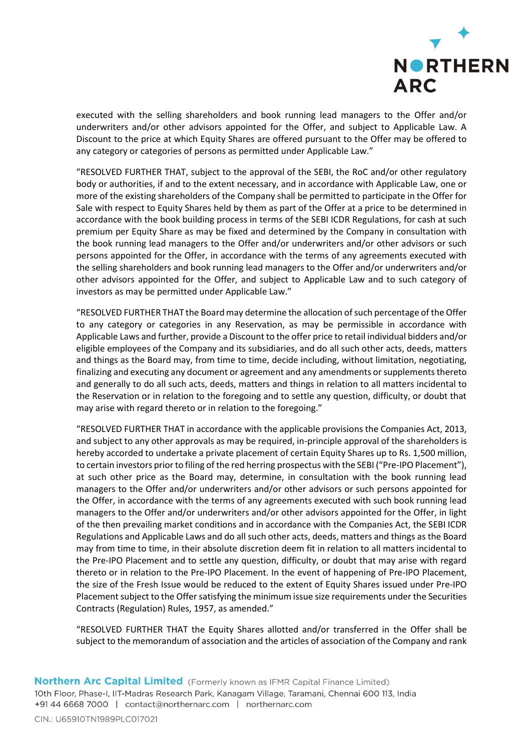

executed with the selling shareholders and book running lead managers to the Offer and/or underwriters and/or other advisors appointed for the Offer, and subject to Applicable Law. A Discount to the price at which Equity Shares are offered pursuant to the Offer may be offered to any category or categories of persons as permitted under Applicable Law."

"RESOLVED FURTHER THAT, subject to the approval of the SEBI, the RoC and/or other regulatory body or authorities, if and to the extent necessary, and in accordance with Applicable Law, one or more of the existing shareholders of the Company shall be permitted to participate in the Offer for Sale with respect to Equity Shares held by them as part of the Offer at a price to be determined in accordance with the book building process in terms of the SEBI ICDR Regulations, for cash at such premium per Equity Share as may be fixed and determined by the Company in consultation with the book running lead managers to the Offer and/or underwriters and/or other advisors or such persons appointed for the Offer, in accordance with the terms of any agreements executed with the selling shareholders and book running lead managers to the Offer and/or underwriters and/or other advisors appointed for the Offer, and subject to Applicable Law and to such category of investors as may be permitted under Applicable Law."

"RESOLVED FURTHER THAT the Board may determine the allocation of such percentage of the Offer to any category or categories in any Reservation, as may be permissible in accordance with Applicable Laws and further, provide a Discount to the offer price to retail individual bidders and/or eligible employees of the Company and its subsidiaries, and do all such other acts, deeds, matters and things as the Board may, from time to time, decide including, without limitation, negotiating, finalizing and executing any document or agreement and any amendments or supplements thereto and generally to do all such acts, deeds, matters and things in relation to all matters incidental to the Reservation or in relation to the foregoing and to settle any question, difficulty, or doubt that may arise with regard thereto or in relation to the foregoing."

"RESOLVED FURTHER THAT in accordance with the applicable provisions the Companies Act, 2013, and subject to any other approvals as may be required, in-principle approval of the shareholders is hereby accorded to undertake a private placement of certain Equity Shares up to Rs. 1,500 million, to certain investors prior to filing of the red herring prospectus with the SEBI ("Pre-IPO Placement"), at such other price as the Board may, determine, in consultation with the book running lead managers to the Offer and/or underwriters and/or other advisors or such persons appointed for the Offer, in accordance with the terms of any agreements executed with such book running lead managers to the Offer and/or underwriters and/or other advisors appointed for the Offer, in light of the then prevailing market conditions and in accordance with the Companies Act, the SEBI ICDR Regulations and Applicable Laws and do all such other acts, deeds, matters and things as the Board may from time to time, in their absolute discretion deem fit in relation to all matters incidental to the Pre-IPO Placement and to settle any question, difficulty, or doubt that may arise with regard thereto or in relation to the Pre-IPO Placement. In the event of happening of Pre-IPO Placement, the size of the Fresh Issue would be reduced to the extent of Equity Shares issued under Pre-IPO Placement subject to the Offer satisfying the minimum issue size requirements under the Securities Contracts (Regulation) Rules, 1957, as amended."

"RESOLVED FURTHER THAT the Equity Shares allotted and/or transferred in the Offer shall be subject to the memorandum of association and the articles of association of the Company and rank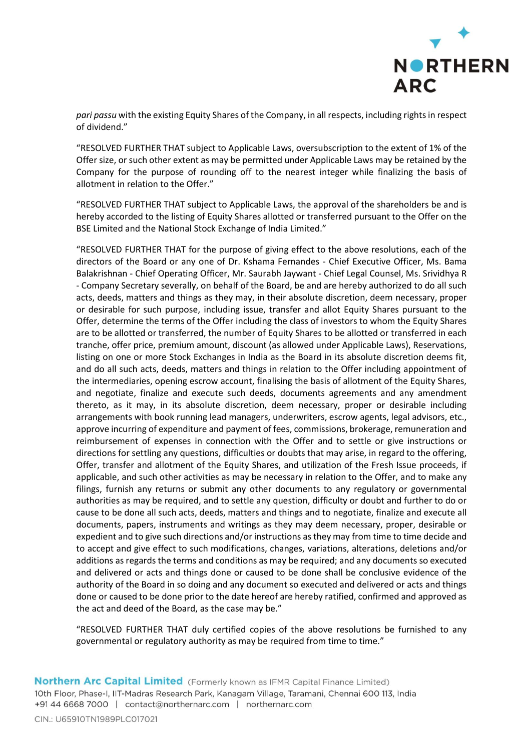

*pari passu* with the existing Equity Shares of the Company, in all respects, including rights in respect of dividend."

"RESOLVED FURTHER THAT subject to Applicable Laws, oversubscription to the extent of 1% of the Offer size, or such other extent as may be permitted under Applicable Laws may be retained by the Company for the purpose of rounding off to the nearest integer while finalizing the basis of allotment in relation to the Offer."

"RESOLVED FURTHER THAT subject to Applicable Laws, the approval of the shareholders be and is hereby accorded to the listing of Equity Shares allotted or transferred pursuant to the Offer on the BSE Limited and the National Stock Exchange of India Limited."

"RESOLVED FURTHER THAT for the purpose of giving effect to the above resolutions, each of the directors of the Board or any one of Dr. Kshama Fernandes - Chief Executive Officer, Ms. Bama Balakrishnan - Chief Operating Officer, Mr. Saurabh Jaywant - Chief Legal Counsel, Ms. Srividhya R - Company Secretary severally, on behalf of the Board, be and are hereby authorized to do all such acts, deeds, matters and things as they may, in their absolute discretion, deem necessary, proper or desirable for such purpose, including issue, transfer and allot Equity Shares pursuant to the Offer, determine the terms of the Offer including the class of investors to whom the Equity Shares are to be allotted or transferred, the number of Equity Shares to be allotted or transferred in each tranche, offer price, premium amount, discount (as allowed under Applicable Laws), Reservations, listing on one or more Stock Exchanges in India as the Board in its absolute discretion deems fit, and do all such acts, deeds, matters and things in relation to the Offer including appointment of the intermediaries, opening escrow account, finalising the basis of allotment of the Equity Shares, and negotiate, finalize and execute such deeds, documents agreements and any amendment thereto, as it may, in its absolute discretion, deem necessary, proper or desirable including arrangements with book running lead managers, underwriters, escrow agents, legal advisors, etc., approve incurring of expenditure and payment of fees, commissions, brokerage, remuneration and reimbursement of expenses in connection with the Offer and to settle or give instructions or directions for settling any questions, difficulties or doubts that may arise, in regard to the offering, Offer, transfer and allotment of the Equity Shares, and utilization of the Fresh Issue proceeds, if applicable, and such other activities as may be necessary in relation to the Offer, and to make any filings, furnish any returns or submit any other documents to any regulatory or governmental authorities as may be required, and to settle any question, difficulty or doubt and further to do or cause to be done all such acts, deeds, matters and things and to negotiate, finalize and execute all documents, papers, instruments and writings as they may deem necessary, proper, desirable or expedient and to give such directions and/or instructions as they may from time to time decide and to accept and give effect to such modifications, changes, variations, alterations, deletions and/or additions as regards the terms and conditions as may be required; and any documents so executed and delivered or acts and things done or caused to be done shall be conclusive evidence of the authority of the Board in so doing and any document so executed and delivered or acts and things done or caused to be done prior to the date hereof are hereby ratified, confirmed and approved as the act and deed of the Board, as the case may be."

"RESOLVED FURTHER THAT duly certified copies of the above resolutions be furnished to any governmental or regulatory authority as may be required from time to time."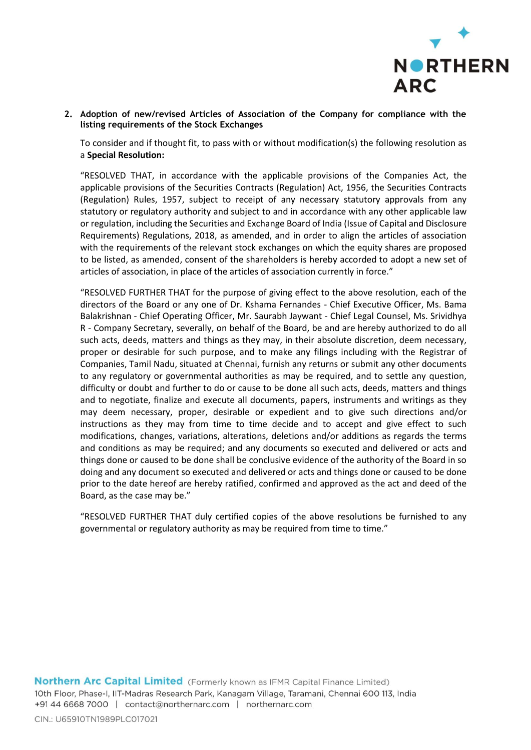

**2. Adoption of new/revised Articles of Association of the Company for compliance with the listing requirements of the Stock Exchanges**

To consider and if thought fit, to pass with or without modification(s) the following resolution as a **Special Resolution:**

"RESOLVED THAT, in accordance with the applicable provisions of the Companies Act, the applicable provisions of the Securities Contracts (Regulation) Act, 1956, the Securities Contracts (Regulation) Rules, 1957, subject to receipt of any necessary statutory approvals from any statutory or regulatory authority and subject to and in accordance with any other applicable law or regulation, including the Securities and Exchange Board of India (Issue of Capital and Disclosure Requirements) Regulations, 2018, as amended, and in order to align the articles of association with the requirements of the relevant stock exchanges on which the equity shares are proposed to be listed, as amended, consent of the shareholders is hereby accorded to adopt a new set of articles of association, in place of the articles of association currently in force."

"RESOLVED FURTHER THAT for the purpose of giving effect to the above resolution, each of the directors of the Board or any one of Dr. Kshama Fernandes - Chief Executive Officer, Ms. Bama Balakrishnan - Chief Operating Officer, Mr. Saurabh Jaywant - Chief Legal Counsel, Ms. Srividhya R - Company Secretary, severally, on behalf of the Board, be and are hereby authorized to do all such acts, deeds, matters and things as they may, in their absolute discretion, deem necessary, proper or desirable for such purpose, and to make any filings including with the Registrar of Companies, Tamil Nadu, situated at Chennai, furnish any returns or submit any other documents to any regulatory or governmental authorities as may be required, and to settle any question, difficulty or doubt and further to do or cause to be done all such acts, deeds, matters and things and to negotiate, finalize and execute all documents, papers, instruments and writings as they may deem necessary, proper, desirable or expedient and to give such directions and/or instructions as they may from time to time decide and to accept and give effect to such modifications, changes, variations, alterations, deletions and/or additions as regards the terms and conditions as may be required; and any documents so executed and delivered or acts and things done or caused to be done shall be conclusive evidence of the authority of the Board in so doing and any document so executed and delivered or acts and things done or caused to be done prior to the date hereof are hereby ratified, confirmed and approved as the act and deed of the Board, as the case may be."

"RESOLVED FURTHER THAT duly certified copies of the above resolutions be furnished to any governmental or regulatory authority as may be required from time to time."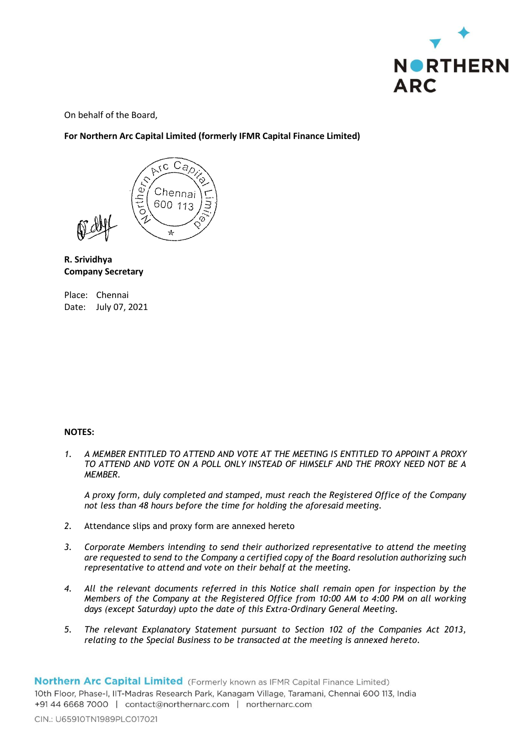

On behalf of the Board,

**For Northern Arc Capital Limited (formerly IFMR Capital Finance Limited)**



# **R. Srividhya Company Secretary**

Place: Chennai Date: July 07, 2021

## **NOTES:**

*1. A MEMBER ENTITLED TO ATTEND AND VOTE AT THE MEETING IS ENTITLED TO APPOINT A PROXY TO ATTEND AND VOTE ON A POLL ONLY INSTEAD OF HIMSELF AND THE PROXY NEED NOT BE A MEMBER.*

*A proxy form, duly completed and stamped, must reach the Registered Office of the Company not less than 48 hours before the time for holding the aforesaid meeting.*

- *2.* Attendance slips and proxy form are annexed hereto
- *3. Corporate Members intending to send their authorized representative to attend the meeting are requested to send to the Company a certified copy of the Board resolution authorizing such representative to attend and vote on their behalf at the meeting.*
- *4. All the relevant documents referred in this Notice shall remain open for inspection by the Members of the Company at the Registered Office from 10:00 AM to 4:00 PM on all working days (except Saturday) upto the date of this Extra-Ordinary General Meeting.*
- *5. The relevant Explanatory Statement pursuant to Section 102 of the Companies Act 2013, relating to the Special Business to be transacted at the meeting is annexed hereto.*

10th Floor, Phase-I, IIT-Madras Research Park, Kanagam Village, Taramani, Chennai 600 113, India +91 44 6668 7000 | contact@northernarc.com | northernarc.com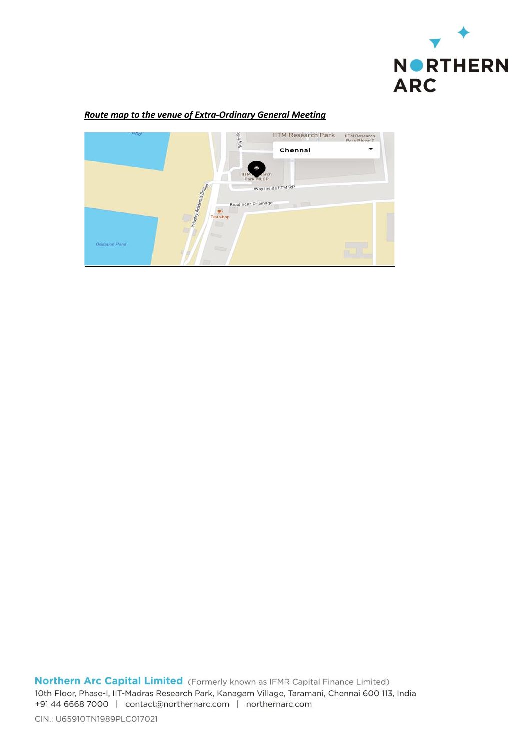

## *Route map to the venue of Extra-Ordinary General Meeting*



Northern Arc Capital Limited (Formerly known as IFMR Capital Finance Limited) 10th Floor, Phase-I, IIT-Madras Research Park, Kanagam Village, Taramani, Chennai 600 113, India +91 44 6668 7000 | contact@northernarc.com | northernarc.com

CIN.: U65910TN1989PLC017021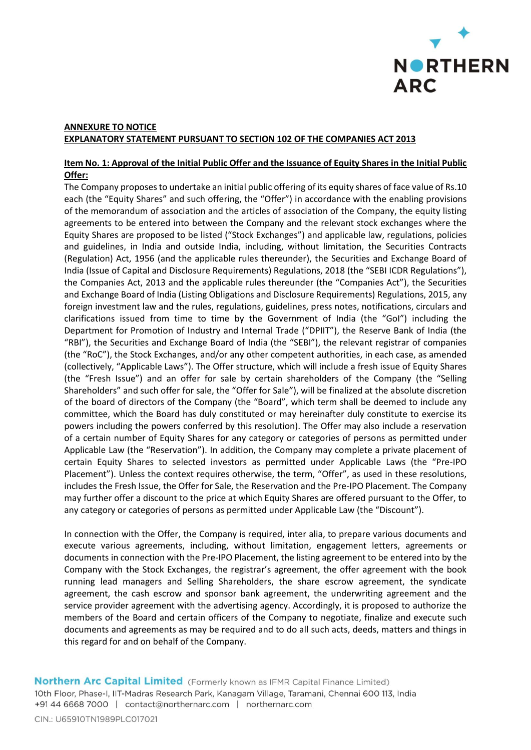

# **ANNEXURE TO NOTICE EXPLANATORY STATEMENT PURSUANT TO SECTION 102 OF THE COMPANIES ACT 2013**

## **Item No. 1: Approval of the Initial Public Offer and the Issuance of Equity Shares in the Initial Public Offer:**

The Company proposes to undertake an initial public offering of its equity shares of face value of Rs.10 each (the "Equity Shares" and such offering, the "Offer") in accordance with the enabling provisions of the memorandum of association and the articles of association of the Company, the equity listing agreements to be entered into between the Company and the relevant stock exchanges where the Equity Shares are proposed to be listed ("Stock Exchanges") and applicable law, regulations, policies and guidelines, in India and outside India, including, without limitation, the Securities Contracts (Regulation) Act, 1956 (and the applicable rules thereunder), the Securities and Exchange Board of India (Issue of Capital and Disclosure Requirements) Regulations, 2018 (the "SEBI ICDR Regulations"), the Companies Act, 2013 and the applicable rules thereunder (the "Companies Act"), the Securities and Exchange Board of India (Listing Obligations and Disclosure Requirements) Regulations, 2015, any foreign investment law and the rules, regulations, guidelines, press notes, notifications, circulars and clarifications issued from time to time by the Government of India (the "GoI") including the Department for Promotion of Industry and Internal Trade ("DPIIT"), the Reserve Bank of India (the "RBI"), the Securities and Exchange Board of India (the "SEBI"), the relevant registrar of companies (the "RoC"), the Stock Exchanges, and/or any other competent authorities, in each case, as amended (collectively, "Applicable Laws"). The Offer structure, which will include a fresh issue of Equity Shares (the "Fresh Issue") and an offer for sale by certain shareholders of the Company (the "Selling Shareholders" and such offer for sale, the "Offer for Sale"), will be finalized at the absolute discretion of the board of directors of the Company (the "Board", which term shall be deemed to include any committee, which the Board has duly constituted or may hereinafter duly constitute to exercise its powers including the powers conferred by this resolution). The Offer may also include a reservation of a certain number of Equity Shares for any category or categories of persons as permitted under Applicable Law (the "Reservation"). In addition, the Company may complete a private placement of certain Equity Shares to selected investors as permitted under Applicable Laws (the "Pre-IPO Placement"). Unless the context requires otherwise, the term, "Offer", as used in these resolutions, includes the Fresh Issue, the Offer for Sale, the Reservation and the Pre-IPO Placement. The Company may further offer a discount to the price at which Equity Shares are offered pursuant to the Offer, to any category or categories of persons as permitted under Applicable Law (the "Discount").

In connection with the Offer, the Company is required, inter alia, to prepare various documents and execute various agreements, including, without limitation, engagement letters, agreements or documents in connection with the Pre-IPO Placement, the listing agreement to be entered into by the Company with the Stock Exchanges, the registrar's agreement, the offer agreement with the book running lead managers and Selling Shareholders, the share escrow agreement, the syndicate agreement, the cash escrow and sponsor bank agreement, the underwriting agreement and the service provider agreement with the advertising agency. Accordingly, it is proposed to authorize the members of the Board and certain officers of the Company to negotiate, finalize and execute such documents and agreements as may be required and to do all such acts, deeds, matters and things in this regard for and on behalf of the Company.

Northern Arc Capital Limited (Formerly known as IFMR Capital Finance Limited) 10th Floor, Phase-I, IIT-Madras Research Park, Kanagam Village, Taramani, Chennai 600 113, India +91 44 6668 7000 | contact@northernarc.com | northernarc.com